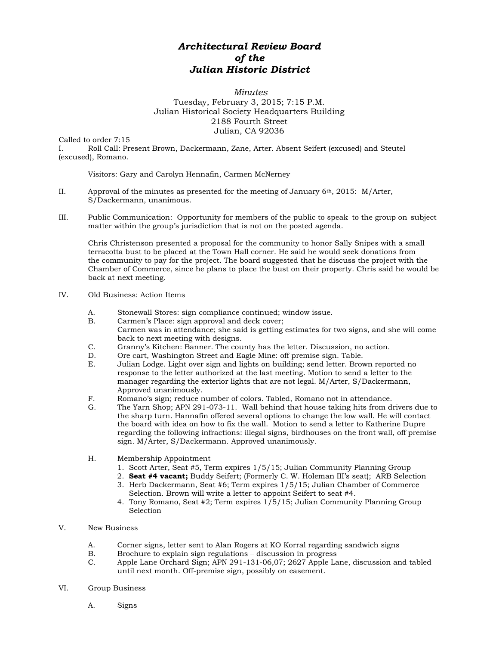## *Architectural Review Board of the Julian Historic District*

## *Minutes* Tuesday, February 3, 2015; 7:15 P.M. Julian Historical Society Headquarters Building 2188 Fourth Street Julian, CA 92036

Called to order 7:15

I. Roll Call: Present Brown, Dackermann, Zane, Arter. Absent Seifert (excused) and Steutel (excused), Romano.

Visitors: Gary and Carolyn Hennafin, Carmen McNerney

- II. Approval of the minutes as presented for the meeting of January  $6<sup>th</sup>$ , 2015: M/Arter, S/Dackermann, unanimous.
- III. Public Communication: Opportunity for members of the public to speak to the group on subject matter within the group's jurisdiction that is not on the posted agenda.

Chris Christenson presented a proposal for the community to honor Sally Snipes with a small terracotta bust to be placed at the Town Hall corner. He said he would seek donations from the community to pay for the project. The board suggested that he discuss the project with the Chamber of Commerce, since he plans to place the bust on their property. Chris said he would be back at next meeting.

## IV. Old Business: Action Items

- A. Stonewall Stores: sign compliance continued; window issue.
- B. Carmen's Place: sign approval and deck cover;
- Carmen was in attendance; she said is getting estimates for two signs, and she will come back to next meeting with designs.
- C. Granny's Kitchen: Banner. The county has the letter. Discussion, no action.
- D. Ore cart, Washington Street and Eagle Mine: off premise sign. Table.
- E. Julian Lodge. Light over sign and lights on building; send letter. Brown reported no response to the letter authorized at the last meeting. Motion to send a letter to the manager regarding the exterior lights that are not legal. M/Arter, S/Dackermann, Approved unanimously.
- F. Romano's sign; reduce number of colors. Tabled, Romano not in attendance.
- G. The Yarn Shop; APN 291-073-11. Wall behind that house taking hits from drivers due to the sharp turn. Hannafin offered several options to change the low wall. He will contact the board with idea on how to fix the wall. Motion to send a letter to Katherine Dupre regarding the following infractions: illegal signs, birdhouses on the front wall, off premise sign. M/Arter, S/Dackermann. Approved unanimously.
- H. Membership Appointment
	- 1. Scott Arter, Seat #5, Term expires 1/5/15; Julian Community Planning Group
	- 2. **Seat #4 vacant;** Buddy Seifert; (Formerly C. W. Holeman III's seat); ARB Selection
	- 3. Herb Dackermann, Seat #6; Term expires 1/5/15; Julian Chamber of Commerce Selection. Brown will write a letter to appoint Seifert to seat #4.
	- 4. Tony Romano, Seat #2; Term expires 1/5/15; Julian Community Planning Group Selection

## V. New Business

- A. Corner signs, letter sent to Alan Rogers at KO Korral regarding sandwich signs
- B. Brochure to explain sign regulations discussion in progress<br>C. Apple Lane Orchard Sign: APN 291-131-06.07: 2627 Apple La
- Apple Lane Orchard Sign; APN 291-131-06,07; 2627 Apple Lane, discussion and tabled until next month. Off-premise sign, possibly on easement.
- VI. Group Business
	- A. Signs